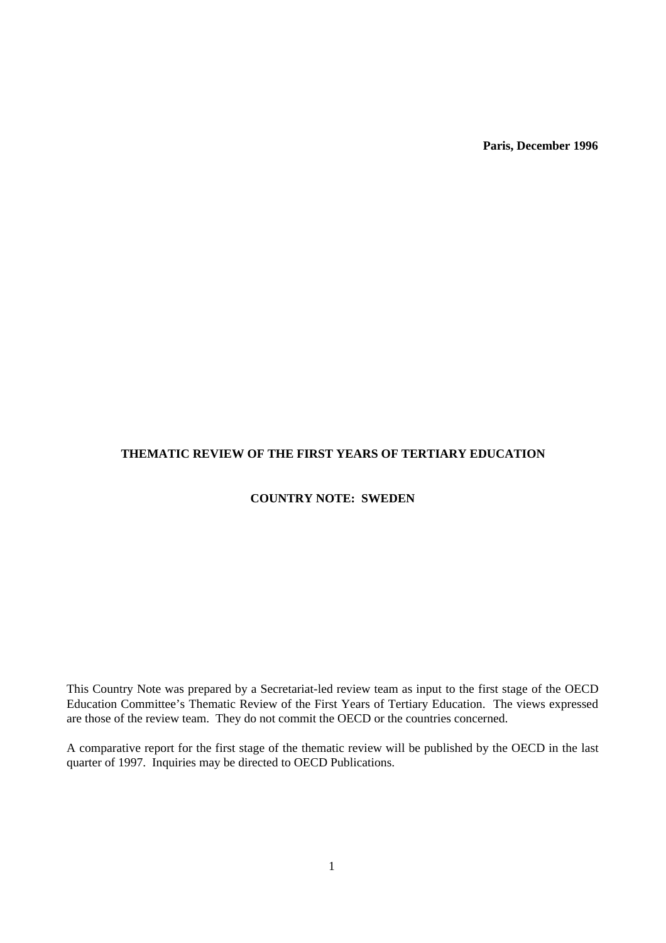**Paris, December 1996**

# **THEMATIC REVIEW OF THE FIRST YEARS OF TERTIARY EDUCATION**

# **COUNTRY NOTE: SWEDEN**

This Country Note was prepared by a Secretariat-led review team as input to the first stage of the OECD Education Committee's Thematic Review of the First Years of Tertiary Education. The views expressed are those of the review team. They do not commit the OECD or the countries concerned.

A comparative report for the first stage of the thematic review will be published by the OECD in the last quarter of 1997. Inquiries may be directed to OECD Publications.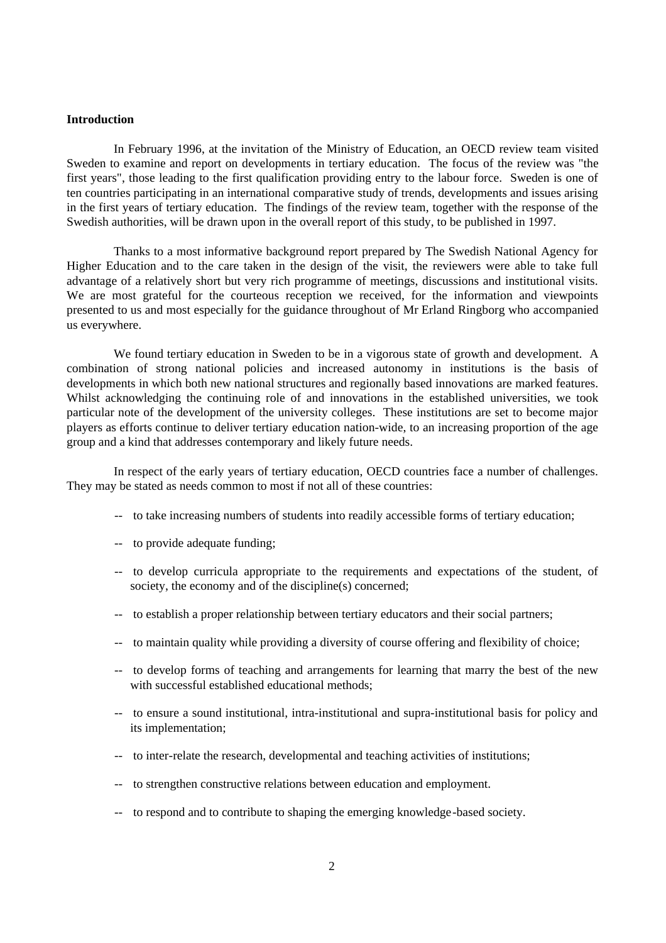## **Introduction**

In February 1996, at the invitation of the Ministry of Education, an OECD review team visited Sweden to examine and report on developments in tertiary education. The focus of the review was "the first years", those leading to the first qualification providing entry to the labour force. Sweden is one of ten countries participating in an international comparative study of trends, developments and issues arising in the first years of tertiary education. The findings of the review team, together with the response of the Swedish authorities, will be drawn upon in the overall report of this study, to be published in 1997.

Thanks to a most informative background report prepared by The Swedish National Agency for Higher Education and to the care taken in the design of the visit, the reviewers were able to take full advantage of a relatively short but very rich programme of meetings, discussions and institutional visits. We are most grateful for the courteous reception we received, for the information and viewpoints presented to us and most especially for the guidance throughout of Mr Erland Ringborg who accompanied us everywhere.

We found tertiary education in Sweden to be in a vigorous state of growth and development. A combination of strong national policies and increased autonomy in institutions is the basis of developments in which both new national structures and regionally based innovations are marked features. Whilst acknowledging the continuing role of and innovations in the established universities, we took particular note of the development of the university colleges. These institutions are set to become major players as efforts continue to deliver tertiary education nation-wide, to an increasing proportion of the age group and a kind that addresses contemporary and likely future needs.

In respect of the early years of tertiary education, OECD countries face a number of challenges. They may be stated as needs common to most if not all of these countries:

- -- to take increasing numbers of students into readily accessible forms of tertiary education;
- -- to provide adequate funding;
- -- to develop curricula appropriate to the requirements and expectations of the student, of society, the economy and of the discipline(s) concerned;
- -- to establish a proper relationship between tertiary educators and their social partners;
- -- to maintain quality while providing a diversity of course offering and flexibility of choice;
- -- to develop forms of teaching and arrangements for learning that marry the best of the new with successful established educational methods;
- -- to ensure a sound institutional, intra-institutional and supra-institutional basis for policy and its implementation;
- -- to inter-relate the research, developmental and teaching activities of institutions;
- -- to strengthen constructive relations between education and employment.
- -- to respond and to contribute to shaping the emerging knowledge-based society.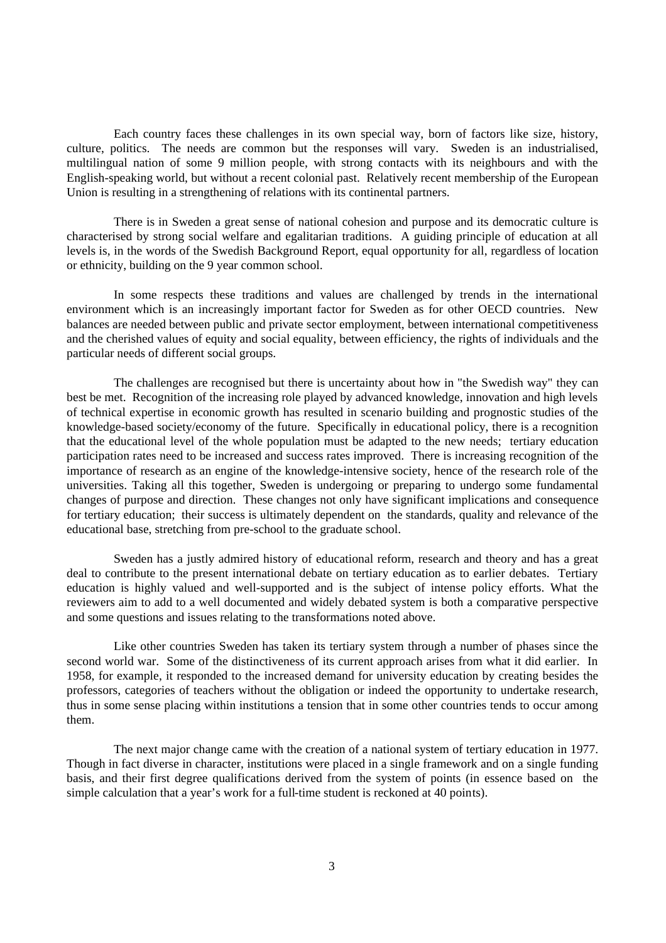Each country faces these challenges in its own special way, born of factors like size, history, culture, politics. The needs are common but the responses will vary. Sweden is an industrialised, multilingual nation of some 9 million people, with strong contacts with its neighbours and with the English-speaking world, but without a recent colonial past. Relatively recent membership of the European Union is resulting in a strengthening of relations with its continental partners.

There is in Sweden a great sense of national cohesion and purpose and its democratic culture is characterised by strong social welfare and egalitarian traditions. A guiding principle of education at all levels is, in the words of the Swedish Background Report, equal opportunity for all, regardless of location or ethnicity, building on the 9 year common school.

In some respects these traditions and values are challenged by trends in the international environment which is an increasingly important factor for Sweden as for other OECD countries. New balances are needed between public and private sector employment, between international competitiveness and the cherished values of equity and social equality, between efficiency, the rights of individuals and the particular needs of different social groups.

The challenges are recognised but there is uncertainty about how in "the Swedish way" they can best be met. Recognition of the increasing role played by advanced knowledge, innovation and high levels of technical expertise in economic growth has resulted in scenario building and prognostic studies of the knowledge-based society/economy of the future. Specifically in educational policy, there is a recognition that the educational level of the whole population must be adapted to the new needs; tertiary education participation rates need to be increased and success rates improved. There is increasing recognition of the importance of research as an engine of the knowledge-intensive society, hence of the research role of the universities. Taking all this together, Sweden is undergoing or preparing to undergo some fundamental changes of purpose and direction. These changes not only have significant implications and consequence for tertiary education; their success is ultimately dependent on the standards, quality and relevance of the educational base, stretching from pre-school to the graduate school.

Sweden has a justly admired history of educational reform, research and theory and has a great deal to contribute to the present international debate on tertiary education as to earlier debates. Tertiary education is highly valued and well-supported and is the subject of intense policy efforts. What the reviewers aim to add to a well documented and widely debated system is both a comparative perspective and some questions and issues relating to the transformations noted above.

Like other countries Sweden has taken its tertiary system through a number of phases since the second world war. Some of the distinctiveness of its current approach arises from what it did earlier. In 1958, for example, it responded to the increased demand for university education by creating besides the professors, categories of teachers without the obligation or indeed the opportunity to undertake research, thus in some sense placing within institutions a tension that in some other countries tends to occur among them.

The next major change came with the creation of a national system of tertiary education in 1977. Though in fact diverse in character, institutions were placed in a single framework and on a single funding basis, and their first degree qualifications derived from the system of points (in essence based on the simple calculation that a year's work for a full-time student is reckoned at 40 points).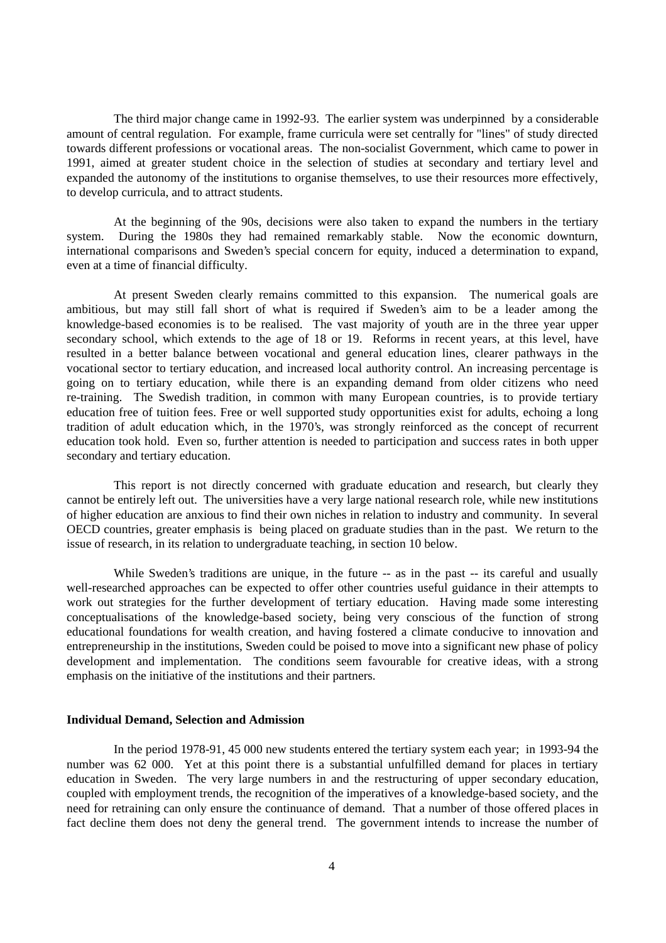The third major change came in 1992-93. The earlier system was underpinned by a considerable amount of central regulation. For example, frame curricula were set centrally for "lines" of study directed towards different professions or vocational areas. The non-socialist Government, which came to power in 1991, aimed at greater student choice in the selection of studies at secondary and tertiary level and expanded the autonomy of the institutions to organise themselves, to use their resources more effectively, to develop curricula, and to attract students.

At the beginning of the 90s, decisions were also taken to expand the numbers in the tertiary system. During the 1980s they had remained remarkably stable. Now the economic downturn, international comparisons and Sweden's special concern for equity, induced a determination to expand, even at a time of financial difficulty.

At present Sweden clearly remains committed to this expansion. The numerical goals are ambitious, but may still fall short of what is required if Sweden's aim to be a leader among the knowledge-based economies is to be realised. The vast majority of youth are in the three year upper secondary school, which extends to the age of 18 or 19. Reforms in recent years, at this level, have resulted in a better balance between vocational and general education lines, clearer pathways in the vocational sector to tertiary education, and increased local authority control. An increasing percentage is going on to tertiary education, while there is an expanding demand from older citizens who need re-training. The Swedish tradition, in common with many European countries, is to provide tertiary education free of tuition fees. Free or well supported study opportunities exist for adults, echoing a long tradition of adult education which, in the 1970's, was strongly reinforced as the concept of recurrent education took hold. Even so, further attention is needed to participation and success rates in both upper secondary and tertiary education.

This report is not directly concerned with graduate education and research, but clearly they cannot be entirely left out. The universities have a very large national research role, while new institutions of higher education are anxious to find their own niches in relation to industry and community. In several OECD countries, greater emphasis is being placed on graduate studies than in the past. We return to the issue of research, in its relation to undergraduate teaching, in section 10 below.

While Sweden's traditions are unique, in the future  $-$  as in the past  $-$  its careful and usually well-researched approaches can be expected to offer other countries useful guidance in their attempts to work out strategies for the further development of tertiary education. Having made some interesting conceptualisations of the knowledge-based society, being very conscious of the function of strong educational foundations for wealth creation, and having fostered a climate conducive to innovation and entrepreneurship in the institutions, Sweden could be poised to move into a significant new phase of policy development and implementation. The conditions seem favourable for creative ideas, with a strong emphasis on the initiative of the institutions and their partners.

#### **Individual Demand, Selection and Admission**

In the period 1978-91, 45 000 new students entered the tertiary system each year; in 1993-94 the number was 62 000. Yet at this point there is a substantial unfulfilled demand for places in tertiary education in Sweden. The very large numbers in and the restructuring of upper secondary education, coupled with employment trends, the recognition of the imperatives of a knowledge-based society, and the need for retraining can only ensure the continuance of demand. That a number of those offered places in fact decline them does not deny the general trend. The government intends to increase the number of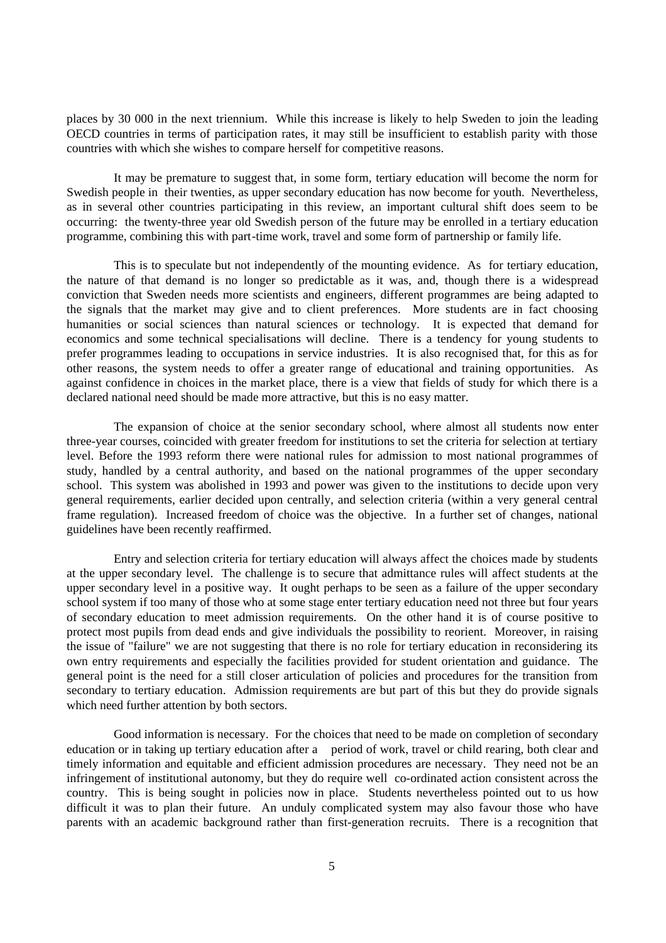places by 30 000 in the next triennium. While this increase is likely to help Sweden to join the leading OECD countries in terms of participation rates, it may still be insufficient to establish parity with those countries with which she wishes to compare herself for competitive reasons.

It may be premature to suggest that, in some form, tertiary education will become the norm for Swedish people in their twenties, as upper secondary education has now become for youth. Nevertheless, as in several other countries participating in this review, an important cultural shift does seem to be occurring: the twenty-three year old Swedish person of the future may be enrolled in a tertiary education programme, combining this with part-time work, travel and some form of partnership or family life.

This is to speculate but not independently of the mounting evidence. As for tertiary education, the nature of that demand is no longer so predictable as it was, and, though there is a widespread conviction that Sweden needs more scientists and engineers, different programmes are being adapted to the signals that the market may give and to client preferences. More students are in fact choosing humanities or social sciences than natural sciences or technology. It is expected that demand for economics and some technical specialisations will decline. There is a tendency for young students to prefer programmes leading to occupations in service industries. It is also recognised that, for this as for other reasons, the system needs to offer a greater range of educational and training opportunities. As against confidence in choices in the market place, there is a view that fields of study for which there is a declared national need should be made more attractive, but this is no easy matter.

The expansion of choice at the senior secondary school, where almost all students now enter three-year courses, coincided with greater freedom for institutions to set the criteria for selection at tertiary level. Before the 1993 reform there were national rules for admission to most national programmes of study, handled by a central authority, and based on the national programmes of the upper secondary school. This system was abolished in 1993 and power was given to the institutions to decide upon very general requirements, earlier decided upon centrally, and selection criteria (within a very general central frame regulation). Increased freedom of choice was the objective. In a further set of changes, national guidelines have been recently reaffirmed.

Entry and selection criteria for tertiary education will always affect the choices made by students at the upper secondary level. The challenge is to secure that admittance rules will affect students at the upper secondary level in a positive way. It ought perhaps to be seen as a failure of the upper secondary school system if too many of those who at some stage enter tertiary education need not three but four years of secondary education to meet admission requirements. On the other hand it is of course positive to protect most pupils from dead ends and give individuals the possibility to reorient. Moreover, in raising the issue of "failure" we are not suggesting that there is no role for tertiary education in reconsidering its own entry requirements and especially the facilities provided for student orientation and guidance. The general point is the need for a still closer articulation of policies and procedures for the transition from secondary to tertiary education. Admission requirements are but part of this but they do provide signals which need further attention by both sectors.

Good information is necessary. For the choices that need to be made on completion of secondary education or in taking up tertiary education after a period of work, travel or child rearing, both clear and timely information and equitable and efficient admission procedures are necessary. They need not be an infringement of institutional autonomy, but they do require well co-ordinated action consistent across the country. This is being sought in policies now in place. Students nevertheless pointed out to us how difficult it was to plan their future. An unduly complicated system may also favour those who have parents with an academic background rather than first-generation recruits. There is a recognition that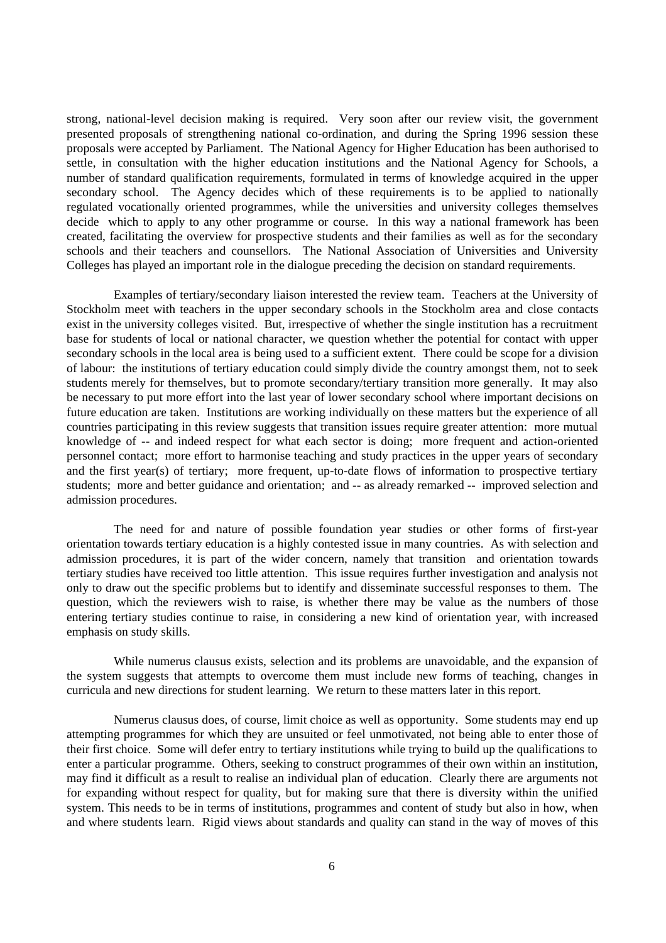strong, national-level decision making is required. Very soon after our review visit, the government presented proposals of strengthening national co-ordination, and during the Spring 1996 session these proposals were accepted by Parliament. The National Agency for Higher Education has been authorised to settle, in consultation with the higher education institutions and the National Agency for Schools, a number of standard qualification requirements, formulated in terms of knowledge acquired in the upper secondary school. The Agency decides which of these requirements is to be applied to nationally regulated vocationally oriented programmes, while the universities and university colleges themselves decide which to apply to any other programme or course. In this way a national framework has been created, facilitating the overview for prospective students and their families as well as for the secondary schools and their teachers and counsellors. The National Association of Universities and University Colleges has played an important role in the dialogue preceding the decision on standard requirements.

Examples of tertiary/secondary liaison interested the review team. Teachers at the University of Stockholm meet with teachers in the upper secondary schools in the Stockholm area and close contacts exist in the university colleges visited. But, irrespective of whether the single institution has a recruitment base for students of local or national character, we question whether the potential for contact with upper secondary schools in the local area is being used to a sufficient extent. There could be scope for a division of labour: the institutions of tertiary education could simply divide the country amongst them, not to seek students merely for themselves, but to promote secondary/tertiary transition more generally. It may also be necessary to put more effort into the last year of lower secondary school where important decisions on future education are taken. Institutions are working individually on these matters but the experience of all countries participating in this review suggests that transition issues require greater attention: more mutual knowledge of -- and indeed respect for what each sector is doing; more frequent and action-oriented personnel contact; more effort to harmonise teaching and study practices in the upper years of secondary and the first year(s) of tertiary; more frequent, up-to-date flows of information to prospective tertiary students; more and better guidance and orientation; and -- as already remarked -- improved selection and admission procedures.

The need for and nature of possible foundation year studies or other forms of first-year orientation towards tertiary education is a highly contested issue in many countries. As with selection and admission procedures, it is part of the wider concern, namely that transition and orientation towards tertiary studies have received too little attention. This issue requires further investigation and analysis not only to draw out the specific problems but to identify and disseminate successful responses to them. The question, which the reviewers wish to raise, is whether there may be value as the numbers of those entering tertiary studies continue to raise, in considering a new kind of orientation year, with increased emphasis on study skills.

While numerus clausus exists, selection and its problems are unavoidable, and the expansion of the system suggests that attempts to overcome them must include new forms of teaching, changes in curricula and new directions for student learning. We return to these matters later in this report.

Numerus clausus does, of course, limit choice as well as opportunity. Some students may end up attempting programmes for which they are unsuited or feel unmotivated, not being able to enter those of their first choice. Some will defer entry to tertiary institutions while trying to build up the qualifications to enter a particular programme. Others, seeking to construct programmes of their own within an institution, may find it difficult as a result to realise an individual plan of education. Clearly there are arguments not for expanding without respect for quality, but for making sure that there is diversity within the unified system. This needs to be in terms of institutions, programmes and content of study but also in how, when and where students learn. Rigid views about standards and quality can stand in the way of moves of this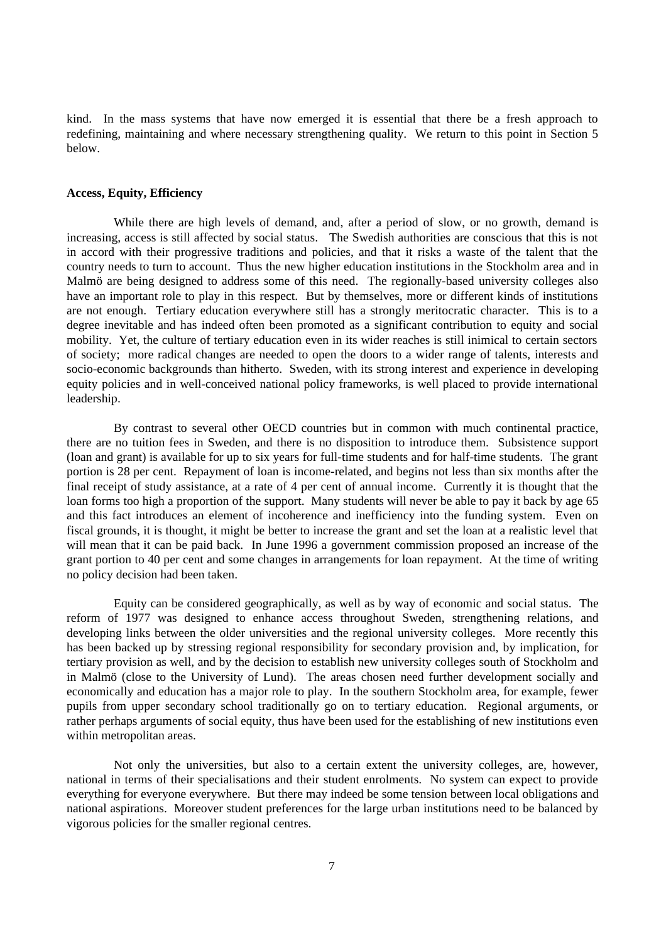kind. In the mass systems that have now emerged it is essential that there be a fresh approach to redefining, maintaining and where necessary strengthening quality. We return to this point in Section 5 below.

## **Access, Equity, Efficiency**

While there are high levels of demand, and, after a period of slow, or no growth, demand is increasing, access is still affected by social status. The Swedish authorities are conscious that this is not in accord with their progressive traditions and policies, and that it risks a waste of the talent that the country needs to turn to account. Thus the new higher education institutions in the Stockholm area and in Malmö are being designed to address some of this need. The regionally-based university colleges also have an important role to play in this respect. But by themselves, more or different kinds of institutions are not enough. Tertiary education everywhere still has a strongly meritocratic character. This is to a degree inevitable and has indeed often been promoted as a significant contribution to equity and social mobility. Yet, the culture of tertiary education even in its wider reaches is still inimical to certain sectors of society; more radical changes are needed to open the doors to a wider range of talents, interests and socio-economic backgrounds than hitherto. Sweden, with its strong interest and experience in developing equity policies and in well-conceived national policy frameworks, is well placed to provide international leadership.

By contrast to several other OECD countries but in common with much continental practice, there are no tuition fees in Sweden, and there is no disposition to introduce them. Subsistence support (loan and grant) is available for up to six years for full-time students and for half-time students. The grant portion is 28 per cent. Repayment of loan is income-related, and begins not less than six months after the final receipt of study assistance, at a rate of 4 per cent of annual income. Currently it is thought that the loan forms too high a proportion of the support. Many students will never be able to pay it back by age 65 and this fact introduces an element of incoherence and inefficiency into the funding system. Even on fiscal grounds, it is thought, it might be better to increase the grant and set the loan at a realistic level that will mean that it can be paid back. In June 1996 a government commission proposed an increase of the grant portion to 40 per cent and some changes in arrangements for loan repayment. At the time of writing no policy decision had been taken.

Equity can be considered geographically, as well as by way of economic and social status. The reform of 1977 was designed to enhance access throughout Sweden, strengthening relations, and developing links between the older universities and the regional university colleges. More recently this has been backed up by stressing regional responsibility for secondary provision and, by implication, for tertiary provision as well, and by the decision to establish new university colleges south of Stockholm and in Malmö (close to the University of Lund). The areas chosen need further development socially and economically and education has a major role to play. In the southern Stockholm area, for example, fewer pupils from upper secondary school traditionally go on to tertiary education. Regional arguments, or rather perhaps arguments of social equity, thus have been used for the establishing of new institutions even within metropolitan areas.

Not only the universities, but also to a certain extent the university colleges, are, however, national in terms of their specialisations and their student enrolments. No system can expect to provide everything for everyone everywhere. But there may indeed be some tension between local obligations and national aspirations. Moreover student preferences for the large urban institutions need to be balanced by vigorous policies for the smaller regional centres.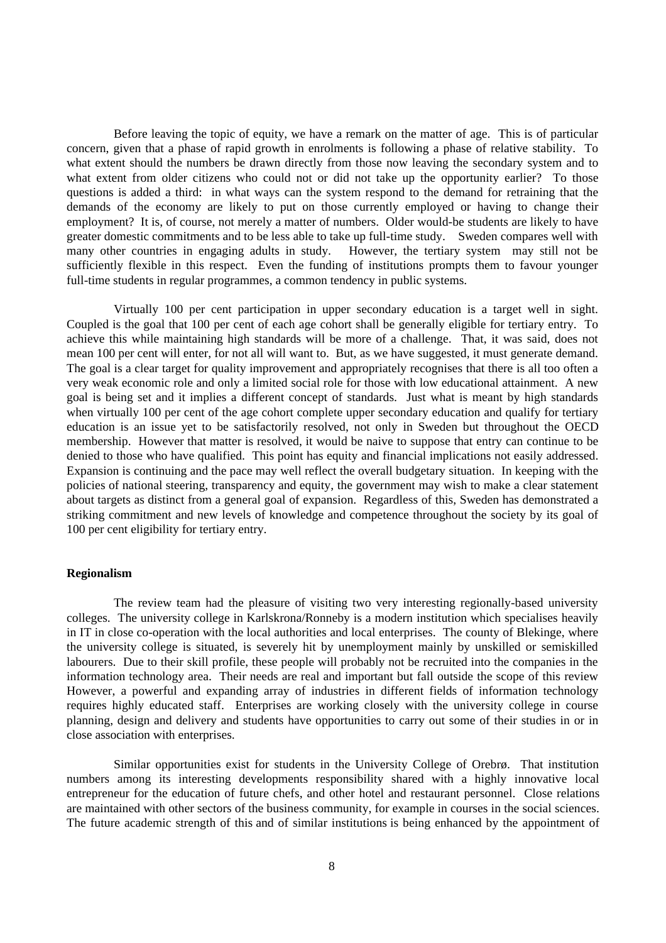Before leaving the topic of equity, we have a remark on the matter of age. This is of particular concern, given that a phase of rapid growth in enrolments is following a phase of relative stability. To what extent should the numbers be drawn directly from those now leaving the secondary system and to what extent from older citizens who could not or did not take up the opportunity earlier? To those questions is added a third: in what ways can the system respond to the demand for retraining that the demands of the economy are likely to put on those currently employed or having to change their employment? It is, of course, not merely a matter of numbers. Older would-be students are likely to have greater domestic commitments and to be less able to take up full-time study. Sweden compares well with many other countries in engaging adults in study. However, the tertiary system may still not be sufficiently flexible in this respect. Even the funding of institutions prompts them to favour younger full-time students in regular programmes, a common tendency in public systems.

Virtually 100 per cent participation in upper secondary education is a target well in sight. Coupled is the goal that 100 per cent of each age cohort shall be generally eligible for tertiary entry. To achieve this while maintaining high standards will be more of a challenge. That, it was said, does not mean 100 per cent will enter, for not all will want to. But, as we have suggested, it must generate demand. The goal is a clear target for quality improvement and appropriately recognises that there is all too often a very weak economic role and only a limited social role for those with low educational attainment. A new goal is being set and it implies a different concept of standards. Just what is meant by high standards when virtually 100 per cent of the age cohort complete upper secondary education and qualify for tertiary education is an issue yet to be satisfactorily resolved, not only in Sweden but throughout the OECD membership. However that matter is resolved, it would be naive to suppose that entry can continue to be denied to those who have qualified. This point has equity and financial implications not easily addressed. Expansion is continuing and the pace may well reflect the overall budgetary situation. In keeping with the policies of national steering, transparency and equity, the government may wish to make a clear statement about targets as distinct from a general goal of expansion. Regardless of this, Sweden has demonstrated a striking commitment and new levels of knowledge and competence throughout the society by its goal of 100 per cent eligibility for tertiary entry.

## **Regionalism**

The review team had the pleasure of visiting two very interesting regionally-based university colleges. The university college in Karlskrona/Ronneby is a modern institution which specialises heavily in IT in close co-operation with the local authorities and local enterprises. The county of Blekinge, where the university college is situated, is severely hit by unemployment mainly by unskilled or semiskilled labourers. Due to their skill profile, these people will probably not be recruited into the companies in the information technology area. Their needs are real and important but fall outside the scope of this review However, a powerful and expanding array of industries in different fields of information technology requires highly educated staff. Enterprises are working closely with the university college in course planning, design and delivery and students have opportunities to carry out some of their studies in or in close association with enterprises.

Similar opportunities exist for students in the University College of Orebrø. That institution numbers among its interesting developments responsibility shared with a highly innovative local entrepreneur for the education of future chefs, and other hotel and restaurant personnel. Close relations are maintained with other sectors of the business community, for example in courses in the social sciences. The future academic strength of this and of similar institutions is being enhanced by the appointment of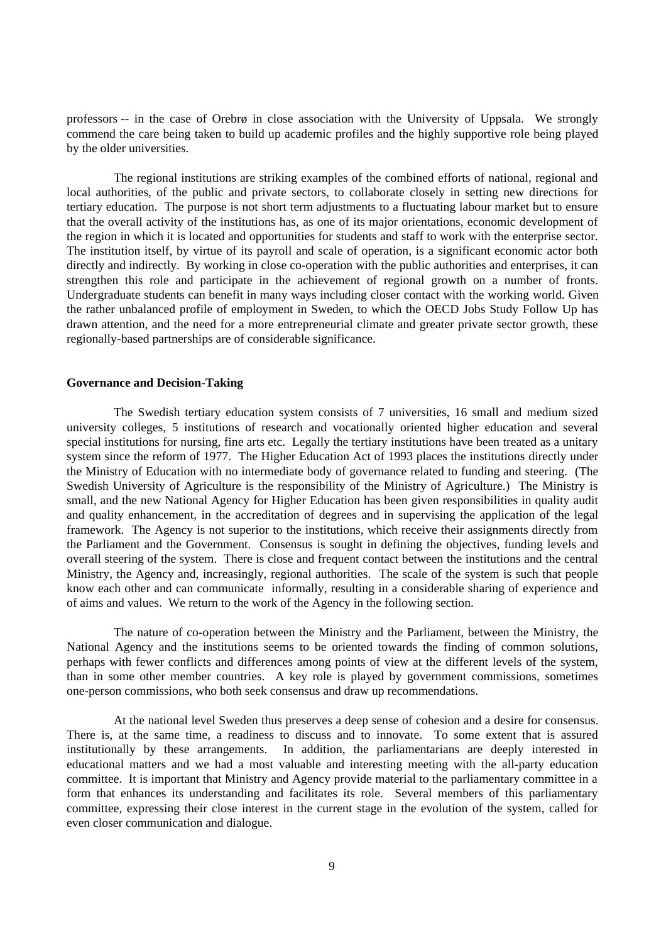professors -- in the case of Orebrø in close association with the University of Uppsala. We strongly commend the care being taken to build up academic profiles and the highly supportive role being played by the older universities.

The regional institutions are striking examples of the combined efforts of national, regional and local authorities, of the public and private sectors, to collaborate closely in setting new directions for tertiary education. The purpose is not short term adjustments to a fluctuating labour market but to ensure that the overall activity of the institutions has, as one of its major orientations, economic development of the region in which it is located and opportunities for students and staff to work with the enterprise sector. The institution itself, by virtue of its payroll and scale of operation, is a significant economic actor both directly and indirectly. By working in close co-operation with the public authorities and enterprises, it can strengthen this role and participate in the achievement of regional growth on a number of fronts. Undergraduate students can benefit in many ways including closer contact with the working world. Given the rather unbalanced profile of employment in Sweden, to which the OECD Jobs Study Follow Up has drawn attention, and the need for a more entrepreneurial climate and greater private sector growth, these regionally-based partnerships are of considerable significance.

### **Governance and Decision-Taking**

The Swedish tertiary education system consists of 7 universities, 16 small and medium sized university colleges, 5 institutions of research and vocationally oriented higher education and several special institutions for nursing, fine arts etc. Legally the tertiary institutions have been treated as a unitary system since the reform of 1977. The Higher Education Act of 1993 places the institutions directly under the Ministry of Education with no intermediate body of governance related to funding and steering. (The Swedish University of Agriculture is the responsibility of the Ministry of Agriculture.) The Ministry is small, and the new National Agency for Higher Education has been given responsibilities in quality audit and quality enhancement, in the accreditation of degrees and in supervising the application of the legal framework. The Agency is not superior to the institutions, which receive their assignments directly from the Parliament and the Government. Consensus is sought in defining the objectives, funding levels and overall steering of the system. There is close and frequent contact between the institutions and the central Ministry, the Agency and, increasingly, regional authorities. The scale of the system is such that people know each other and can communicate informally, resulting in a considerable sharing of experience and of aims and values. We return to the work of the Agency in the following section.

The nature of co-operation between the Ministry and the Parliament, between the Ministry, the National Agency and the institutions seems to be oriented towards the finding of common solutions, perhaps with fewer conflicts and differences among points of view at the different levels of the system, than in some other member countries. A key role is played by government commissions, sometimes one-person commissions, who both seek consensus and draw up recommendations.

At the national level Sweden thus preserves a deep sense of cohesion and a desire for consensus. There is, at the same time, a readiness to discuss and to innovate. To some extent that is assured institutionally by these arrangements. In addition, the parliamentarians are deeply interested in educational matters and we had a most valuable and interesting meeting with the all-party education committee. It is important that Ministry and Agency provide material to the parliamentary committee in a form that enhances its understanding and facilitates its role. Several members of this parliamentary committee, expressing their close interest in the current stage in the evolution of the system, called for even closer communication and dialogue.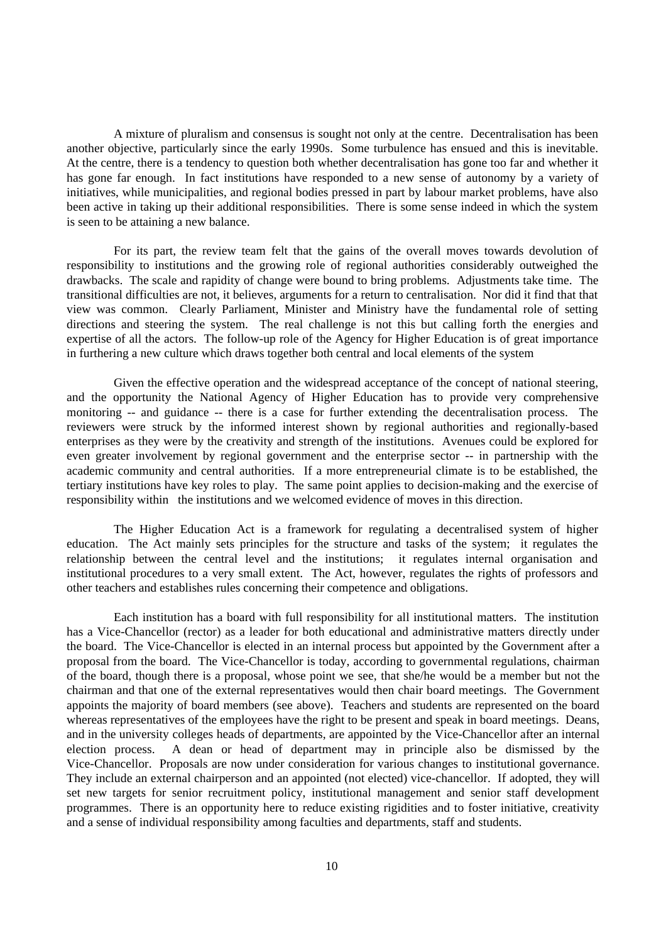A mixture of pluralism and consensus is sought not only at the centre. Decentralisation has been another objective, particularly since the early 1990s. Some turbulence has ensued and this is inevitable. At the centre, there is a tendency to question both whether decentralisation has gone too far and whether it has gone far enough. In fact institutions have responded to a new sense of autonomy by a variety of initiatives, while municipalities, and regional bodies pressed in part by labour market problems, have also been active in taking up their additional responsibilities. There is some sense indeed in which the system is seen to be attaining a new balance.

For its part, the review team felt that the gains of the overall moves towards devolution of responsibility to institutions and the growing role of regional authorities considerably outweighed the drawbacks. The scale and rapidity of change were bound to bring problems. Adjustments take time. The transitional difficulties are not, it believes, arguments for a return to centralisation. Nor did it find that that view was common. Clearly Parliament, Minister and Ministry have the fundamental role of setting directions and steering the system. The real challenge is not this but calling forth the energies and expertise of all the actors. The follow-up role of the Agency for Higher Education is of great importance in furthering a new culture which draws together both central and local elements of the system

Given the effective operation and the widespread acceptance of the concept of national steering, and the opportunity the National Agency of Higher Education has to provide very comprehensive monitoring -- and guidance -- there is a case for further extending the decentralisation process. The reviewers were struck by the informed interest shown by regional authorities and regionally-based enterprises as they were by the creativity and strength of the institutions. Avenues could be explored for even greater involvement by regional government and the enterprise sector -- in partnership with the academic community and central authorities. If a more entrepreneurial climate is to be established, the tertiary institutions have key roles to play. The same point applies to decision-making and the exercise of responsibility within the institutions and we welcomed evidence of moves in this direction.

The Higher Education Act is a framework for regulating a decentralised system of higher education. The Act mainly sets principles for the structure and tasks of the system; it regulates the relationship between the central level and the institutions; it regulates internal organisation and institutional procedures to a very small extent. The Act, however, regulates the rights of professors and other teachers and establishes rules concerning their competence and obligations.

Each institution has a board with full responsibility for all institutional matters. The institution has a Vice-Chancellor (rector) as a leader for both educational and administrative matters directly under the board. The Vice-Chancellor is elected in an internal process but appointed by the Government after a proposal from the board. The Vice-Chancellor is today, according to governmental regulations, chairman of the board, though there is a proposal, whose point we see, that she/he would be a member but not the chairman and that one of the external representatives would then chair board meetings. The Government appoints the majority of board members (see above). Teachers and students are represented on the board whereas representatives of the employees have the right to be present and speak in board meetings. Deans, and in the university colleges heads of departments, are appointed by the Vice-Chancellor after an internal election process. A dean or head of department may in principle also be dismissed by the Vice-Chancellor. Proposals are now under consideration for various changes to institutional governance. They include an external chairperson and an appointed (not elected) vice-chancellor. If adopted, they will set new targets for senior recruitment policy, institutional management and senior staff development programmes. There is an opportunity here to reduce existing rigidities and to foster initiative, creativity and a sense of individual responsibility among faculties and departments, staff and students.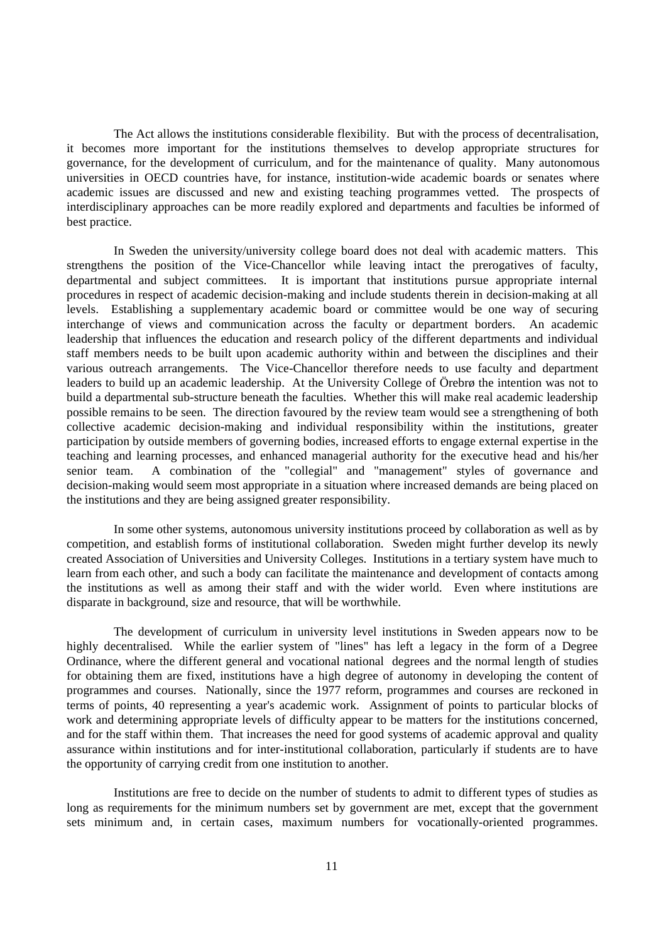The Act allows the institutions considerable flexibility. But with the process of decentralisation, it becomes more important for the institutions themselves to develop appropriate structures for governance, for the development of curriculum, and for the maintenance of quality. Many autonomous universities in OECD countries have, for instance, institution-wide academic boards or senates where academic issues are discussed and new and existing teaching programmes vetted. The prospects of interdisciplinary approaches can be more readily explored and departments and faculties be informed of best practice.

In Sweden the university/university college board does not deal with academic matters. This strengthens the position of the Vice-Chancellor while leaving intact the prerogatives of faculty, departmental and subject committees. It is important that institutions pursue appropriate internal procedures in respect of academic decision-making and include students therein in decision-making at all levels. Establishing a supplementary academic board or committee would be one way of securing interchange of views and communication across the faculty or department borders. An academic leadership that influences the education and research policy of the different departments and individual staff members needs to be built upon academic authority within and between the disciplines and their various outreach arrangements. The Vice-Chancellor therefore needs to use faculty and department leaders to build up an academic leadership. At the University College of Örebrø the intention was not to build a departmental sub-structure beneath the faculties. Whether this will make real academic leadership possible remains to be seen. The direction favoured by the review team would see a strengthening of both collective academic decision-making and individual responsibility within the institutions, greater participation by outside members of governing bodies, increased efforts to engage external expertise in the teaching and learning processes, and enhanced managerial authority for the executive head and his/her senior team. A combination of the "collegial" and "management" styles of governance and decision-making would seem most appropriate in a situation where increased demands are being placed on the institutions and they are being assigned greater responsibility.

In some other systems, autonomous university institutions proceed by collaboration as well as by competition, and establish forms of institutional collaboration. Sweden might further develop its newly created Association of Universities and University Colleges. Institutions in a tertiary system have much to learn from each other, and such a body can facilitate the maintenance and development of contacts among the institutions as well as among their staff and with the wider world. Even where institutions are disparate in background, size and resource, that will be worthwhile.

The development of curriculum in university level institutions in Sweden appears now to be highly decentralised. While the earlier system of "lines" has left a legacy in the form of a Degree Ordinance, where the different general and vocational national degrees and the normal length of studies for obtaining them are fixed, institutions have a high degree of autonomy in developing the content of programmes and courses. Nationally, since the 1977 reform, programmes and courses are reckoned in terms of points, 40 representing a year's academic work. Assignment of points to particular blocks of work and determining appropriate levels of difficulty appear to be matters for the institutions concerned, and for the staff within them. That increases the need for good systems of academic approval and quality assurance within institutions and for inter-institutional collaboration, particularly if students are to have the opportunity of carrying credit from one institution to another.

Institutions are free to decide on the number of students to admit to different types of studies as long as requirements for the minimum numbers set by government are met, except that the government sets minimum and, in certain cases, maximum numbers for vocationally-oriented programmes.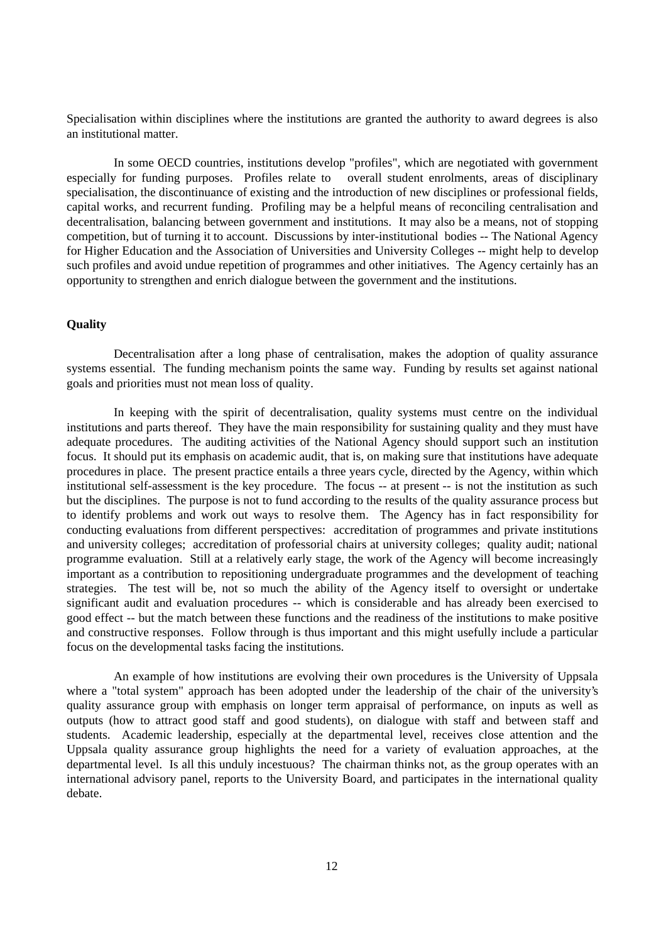Specialisation within disciplines where the institutions are granted the authority to award degrees is also an institutional matter.

In some OECD countries, institutions develop "profiles", which are negotiated with government especially for funding purposes. Profiles relate to overall student enrolments, areas of disciplinary specialisation, the discontinuance of existing and the introduction of new disciplines or professional fields, capital works, and recurrent funding. Profiling may be a helpful means of reconciling centralisation and decentralisation, balancing between government and institutions. It may also be a means, not of stopping competition, but of turning it to account. Discussions by inter-institutional bodies -- The National Agency for Higher Education and the Association of Universities and University Colleges -- might help to develop such profiles and avoid undue repetition of programmes and other initiatives. The Agency certainly has an opportunity to strengthen and enrich dialogue between the government and the institutions.

# **Quality**

Decentralisation after a long phase of centralisation, makes the adoption of quality assurance systems essential. The funding mechanism points the same way. Funding by results set against national goals and priorities must not mean loss of quality.

In keeping with the spirit of decentralisation, quality systems must centre on the individual institutions and parts thereof. They have the main responsibility for sustaining quality and they must have adequate procedures. The auditing activities of the National Agency should support such an institution focus. It should put its emphasis on academic audit, that is, on making sure that institutions have adequate procedures in place. The present practice entails a three years cycle, directed by the Agency, within which institutional self-assessment is the key procedure. The focus -- at present -- is not the institution as such but the disciplines. The purpose is not to fund according to the results of the quality assurance process but to identify problems and work out ways to resolve them. The Agency has in fact responsibility for conducting evaluations from different perspectives: accreditation of programmes and private institutions and university colleges; accreditation of professorial chairs at university colleges; quality audit; national programme evaluation. Still at a relatively early stage, the work of the Agency will become increasingly important as a contribution to repositioning undergraduate programmes and the development of teaching strategies. The test will be, not so much the ability of the Agency itself to oversight or undertake significant audit and evaluation procedures -- which is considerable and has already been exercised to good effect -- but the match between these functions and the readiness of the institutions to make positive and constructive responses. Follow through is thus important and this might usefully include a particular focus on the developmental tasks facing the institutions.

An example of how institutions are evolving their own procedures is the University of Uppsala where a "total system" approach has been adopted under the leadership of the chair of the university's quality assurance group with emphasis on longer term appraisal of performance, on inputs as well as outputs (how to attract good staff and good students), on dialogue with staff and between staff and students. Academic leadership, especially at the departmental level, receives close attention and the Uppsala quality assurance group highlights the need for a variety of evaluation approaches, at the departmental level. Is all this unduly incestuous? The chairman thinks not, as the group operates with an international advisory panel, reports to the University Board, and participates in the international quality debate.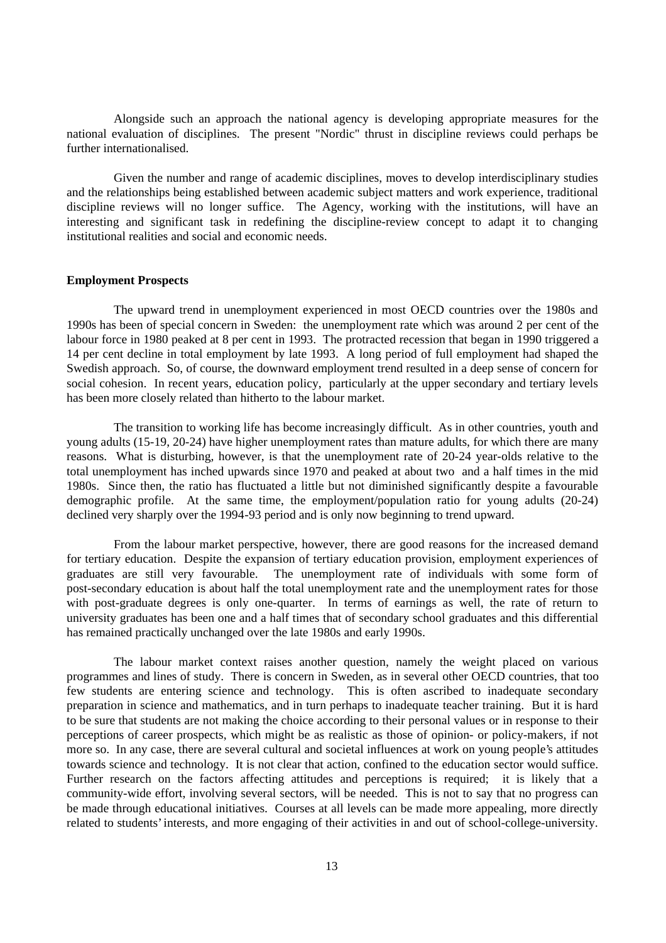Alongside such an approach the national agency is developing appropriate measures for the national evaluation of disciplines. The present "Nordic" thrust in discipline reviews could perhaps be further internationalised.

Given the number and range of academic disciplines, moves to develop interdisciplinary studies and the relationships being established between academic subject matters and work experience, traditional discipline reviews will no longer suffice. The Agency, working with the institutions, will have an interesting and significant task in redefining the discipline-review concept to adapt it to changing institutional realities and social and economic needs.

## **Employment Prospects**

The upward trend in unemployment experienced in most OECD countries over the 1980s and 1990s has been of special concern in Sweden: the unemployment rate which was around 2 per cent of the labour force in 1980 peaked at 8 per cent in 1993. The protracted recession that began in 1990 triggered a 14 per cent decline in total employment by late 1993. A long period of full employment had shaped the Swedish approach. So, of course, the downward employment trend resulted in a deep sense of concern for social cohesion. In recent years, education policy, particularly at the upper secondary and tertiary levels has been more closely related than hitherto to the labour market.

The transition to working life has become increasingly difficult. As in other countries, youth and young adults (15-19, 20-24) have higher unemployment rates than mature adults, for which there are many reasons. What is disturbing, however, is that the unemployment rate of 20-24 year-olds relative to the total unemployment has inched upwards since 1970 and peaked at about two and a half times in the mid 1980s. Since then, the ratio has fluctuated a little but not diminished significantly despite a favourable demographic profile. At the same time, the employment/population ratio for young adults (20-24) declined very sharply over the 1994-93 period and is only now beginning to trend upward.

From the labour market perspective, however, there are good reasons for the increased demand for tertiary education. Despite the expansion of tertiary education provision, employment experiences of graduates are still very favourable. The unemployment rate of individuals with some form of post-secondary education is about half the total unemployment rate and the unemployment rates for those with post-graduate degrees is only one-quarter. In terms of earnings as well, the rate of return to university graduates has been one and a half times that of secondary school graduates and this differential has remained practically unchanged over the late 1980s and early 1990s.

The labour market context raises another question, namely the weight placed on various programmes and lines of study. There is concern in Sweden, as in several other OECD countries, that too few students are entering science and technology. This is often ascribed to inadequate secondary preparation in science and mathematics, and in turn perhaps to inadequate teacher training. But it is hard to be sure that students are not making the choice according to their personal values or in response to their perceptions of career prospects, which might be as realistic as those of opinion- or policy-makers, if not more so. In any case, there are several cultural and societal influences at work on young people's attitudes towards science and technology. It is not clear that action, confined to the education sector would suffice. Further research on the factors affecting attitudes and perceptions is required; it is likely that a community-wide effort, involving several sectors, will be needed. This is not to say that no progress can be made through educational initiatives. Courses at all levels can be made more appealing, more directly related to students' interests, and more engaging of their activities in and out of school-college-university.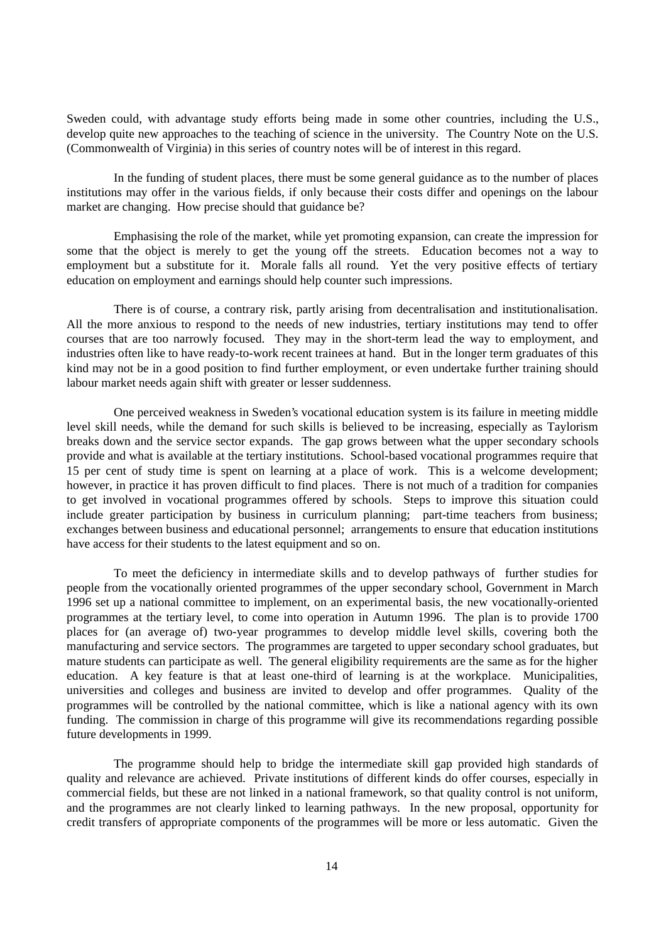Sweden could, with advantage study efforts being made in some other countries, including the U.S., develop quite new approaches to the teaching of science in the university. The Country Note on the U.S. (Commonwealth of Virginia) in this series of country notes will be of interest in this regard.

In the funding of student places, there must be some general guidance as to the number of places institutions may offer in the various fields, if only because their costs differ and openings on the labour market are changing. How precise should that guidance be?

Emphasising the role of the market, while yet promoting expansion, can create the impression for some that the object is merely to get the young off the streets. Education becomes not a way to employment but a substitute for it. Morale falls all round. Yet the very positive effects of tertiary education on employment and earnings should help counter such impressions.

There is of course, a contrary risk, partly arising from decentralisation and institutionalisation. All the more anxious to respond to the needs of new industries, tertiary institutions may tend to offer courses that are too narrowly focused. They may in the short-term lead the way to employment, and industries often like to have ready-to-work recent trainees at hand. But in the longer term graduates of this kind may not be in a good position to find further employment, or even undertake further training should labour market needs again shift with greater or lesser suddenness.

One perceived weakness in Sweden's vocational education system is its failure in meeting middle level skill needs, while the demand for such skills is believed to be increasing, especially as Taylorism breaks down and the service sector expands. The gap grows between what the upper secondary schools provide and what is available at the tertiary institutions. School-based vocational programmes require that 15 per cent of study time is spent on learning at a place of work. This is a welcome development; however, in practice it has proven difficult to find places. There is not much of a tradition for companies to get involved in vocational programmes offered by schools. Steps to improve this situation could include greater participation by business in curriculum planning; part-time teachers from business; exchanges between business and educational personnel; arrangements to ensure that education institutions have access for their students to the latest equipment and so on.

To meet the deficiency in intermediate skills and to develop pathways of further studies for people from the vocationally oriented programmes of the upper secondary school, Government in March 1996 set up a national committee to implement, on an experimental basis, the new vocationally-oriented programmes at the tertiary level, to come into operation in Autumn 1996. The plan is to provide 1700 places for (an average of) two-year programmes to develop middle level skills, covering both the manufacturing and service sectors. The programmes are targeted to upper secondary school graduates, but mature students can participate as well. The general eligibility requirements are the same as for the higher education. A key feature is that at least one-third of learning is at the workplace. Municipalities, universities and colleges and business are invited to develop and offer programmes. Quality of the programmes will be controlled by the national committee, which is like a national agency with its own funding. The commission in charge of this programme will give its recommendations regarding possible future developments in 1999.

The programme should help to bridge the intermediate skill gap provided high standards of quality and relevance are achieved. Private institutions of different kinds do offer courses, especially in commercial fields, but these are not linked in a national framework, so that quality control is not uniform, and the programmes are not clearly linked to learning pathways. In the new proposal, opportunity for credit transfers of appropriate components of the programmes will be more or less automatic. Given the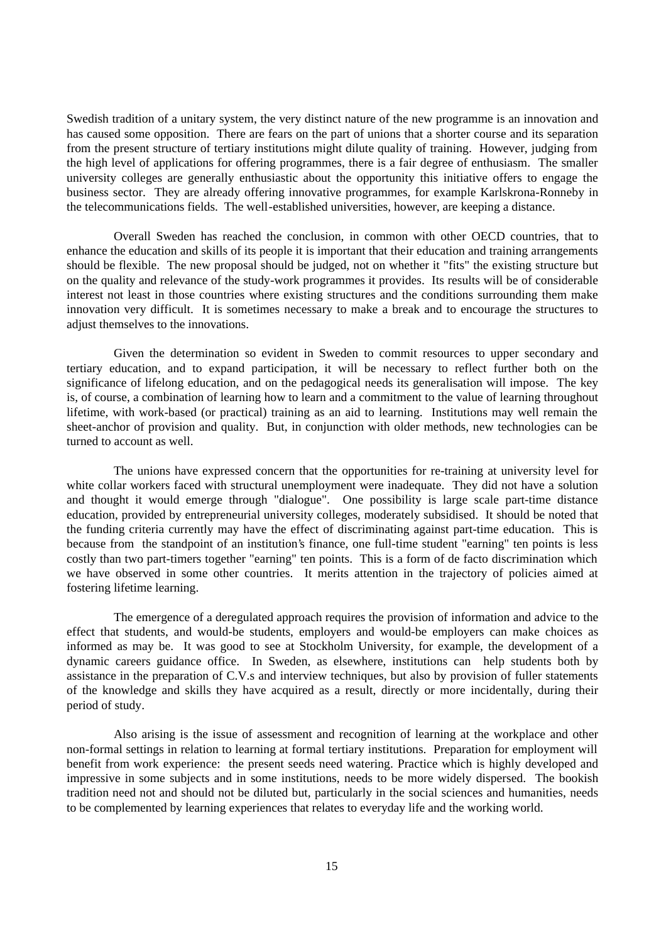Swedish tradition of a unitary system, the very distinct nature of the new programme is an innovation and has caused some opposition. There are fears on the part of unions that a shorter course and its separation from the present structure of tertiary institutions might dilute quality of training. However, judging from the high level of applications for offering programmes, there is a fair degree of enthusiasm. The smaller university colleges are generally enthusiastic about the opportunity this initiative offers to engage the business sector. They are already offering innovative programmes, for example Karlskrona-Ronneby in the telecommunications fields. The well-established universities, however, are keeping a distance.

Overall Sweden has reached the conclusion, in common with other OECD countries, that to enhance the education and skills of its people it is important that their education and training arrangements should be flexible. The new proposal should be judged, not on whether it "fits" the existing structure but on the quality and relevance of the study-work programmes it provides. Its results will be of considerable interest not least in those countries where existing structures and the conditions surrounding them make innovation very difficult. It is sometimes necessary to make a break and to encourage the structures to adjust themselves to the innovations.

Given the determination so evident in Sweden to commit resources to upper secondary and tertiary education, and to expand participation, it will be necessary to reflect further both on the significance of lifelong education, and on the pedagogical needs its generalisation will impose. The key is, of course, a combination of learning how to learn and a commitment to the value of learning throughout lifetime, with work-based (or practical) training as an aid to learning. Institutions may well remain the sheet-anchor of provision and quality. But, in conjunction with older methods, new technologies can be turned to account as well.

The unions have expressed concern that the opportunities for re-training at university level for white collar workers faced with structural unemployment were inadequate. They did not have a solution and thought it would emerge through "dialogue". One possibility is large scale part-time distance education, provided by entrepreneurial university colleges, moderately subsidised. It should be noted that the funding criteria currently may have the effect of discriminating against part-time education. This is because from the standpoint of an institution's finance, one full-time student "earning" ten points is less costly than two part-timers together "earning" ten points. This is a form of de facto discrimination which we have observed in some other countries. It merits attention in the trajectory of policies aimed at fostering lifetime learning.

The emergence of a deregulated approach requires the provision of information and advice to the effect that students, and would-be students, employers and would-be employers can make choices as informed as may be. It was good to see at Stockholm University, for example, the development of a dynamic careers guidance office. In Sweden, as elsewhere, institutions can help students both by assistance in the preparation of C.V.s and interview techniques, but also by provision of fuller statements of the knowledge and skills they have acquired as a result, directly or more incidentally, during their period of study.

Also arising is the issue of assessment and recognition of learning at the workplace and other non-formal settings in relation to learning at formal tertiary institutions. Preparation for employment will benefit from work experience: the present seeds need watering. Practice which is highly developed and impressive in some subjects and in some institutions, needs to be more widely dispersed. The bookish tradition need not and should not be diluted but, particularly in the social sciences and humanities, needs to be complemented by learning experiences that relates to everyday life and the working world.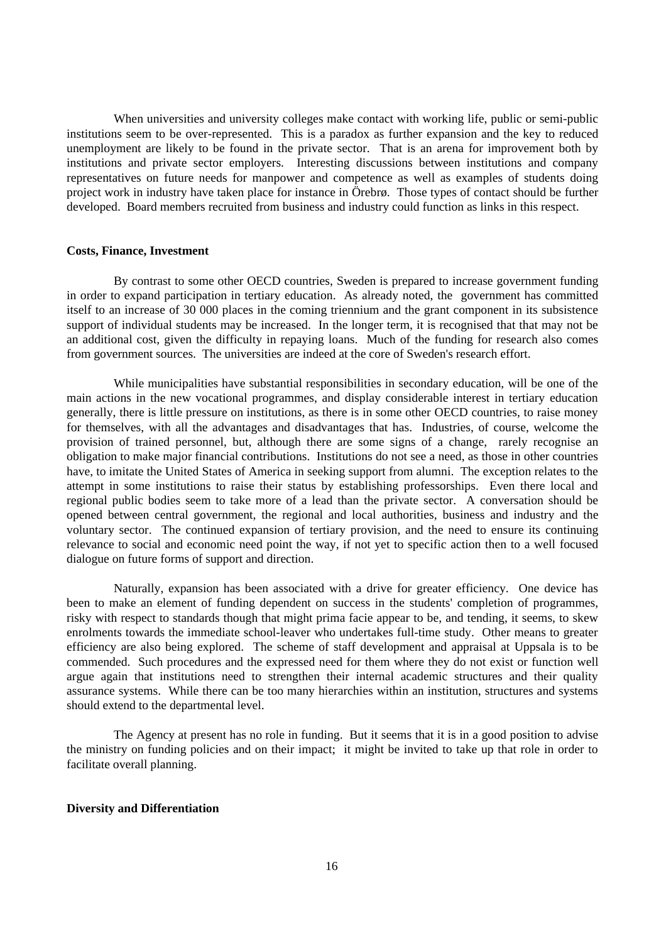When universities and university colleges make contact with working life, public or semi-public institutions seem to be over-represented. This is a paradox as further expansion and the key to reduced unemployment are likely to be found in the private sector. That is an arena for improvement both by institutions and private sector employers. Interesting discussions between institutions and company representatives on future needs for manpower and competence as well as examples of students doing project work in industry have taken place for instance in Örebrø. Those types of contact should be further developed. Board members recruited from business and industry could function as links in this respect.

### **Costs, Finance, Investment**

By contrast to some other OECD countries, Sweden is prepared to increase government funding in order to expand participation in tertiary education. As already noted, the government has committed itself to an increase of 30 000 places in the coming triennium and the grant component in its subsistence support of individual students may be increased. In the longer term, it is recognised that that may not be an additional cost, given the difficulty in repaying loans. Much of the funding for research also comes from government sources. The universities are indeed at the core of Sweden's research effort.

While municipalities have substantial responsibilities in secondary education, will be one of the main actions in the new vocational programmes, and display considerable interest in tertiary education generally, there is little pressure on institutions, as there is in some other OECD countries, to raise money for themselves, with all the advantages and disadvantages that has. Industries, of course, welcome the provision of trained personnel, but, although there are some signs of a change, rarely recognise an obligation to make major financial contributions. Institutions do not see a need, as those in other countries have, to imitate the United States of America in seeking support from alumni. The exception relates to the attempt in some institutions to raise their status by establishing professorships. Even there local and regional public bodies seem to take more of a lead than the private sector. A conversation should be opened between central government, the regional and local authorities, business and industry and the voluntary sector. The continued expansion of tertiary provision, and the need to ensure its continuing relevance to social and economic need point the way, if not yet to specific action then to a well focused dialogue on future forms of support and direction.

Naturally, expansion has been associated with a drive for greater efficiency. One device has been to make an element of funding dependent on success in the students' completion of programmes, risky with respect to standards though that might prima facie appear to be, and tending, it seems, to skew enrolments towards the immediate school-leaver who undertakes full-time study. Other means to greater efficiency are also being explored. The scheme of staff development and appraisal at Uppsala is to be commended. Such procedures and the expressed need for them where they do not exist or function well argue again that institutions need to strengthen their internal academic structures and their quality assurance systems. While there can be too many hierarchies within an institution, structures and systems should extend to the departmental level.

The Agency at present has no role in funding. But it seems that it is in a good position to advise the ministry on funding policies and on their impact; it might be invited to take up that role in order to facilitate overall planning.

#### **Diversity and Differentiation**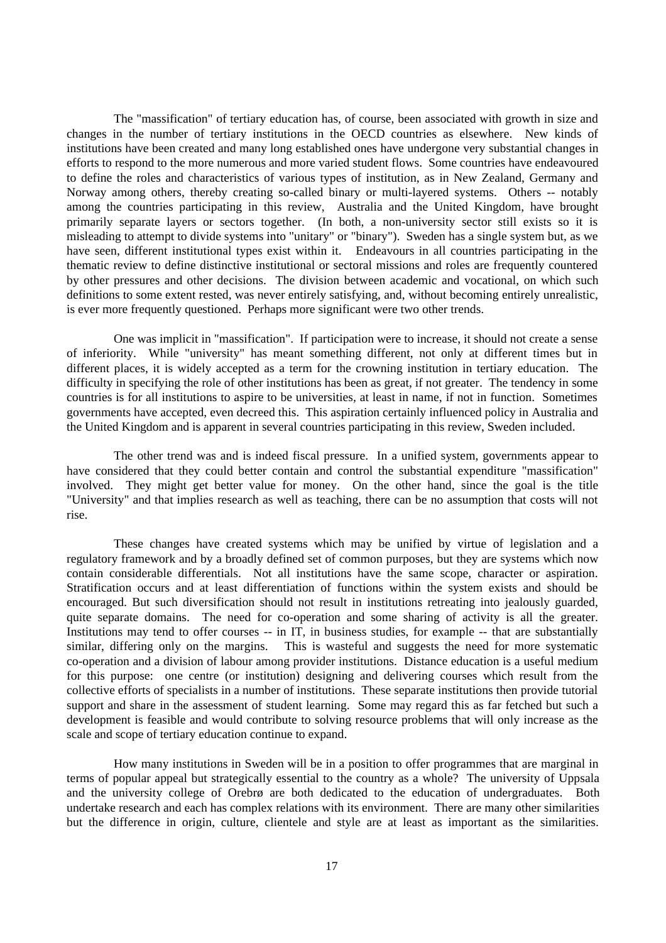The "massification" of tertiary education has, of course, been associated with growth in size and changes in the number of tertiary institutions in the OECD countries as elsewhere. New kinds of institutions have been created and many long established ones have undergone very substantial changes in efforts to respond to the more numerous and more varied student flows. Some countries have endeavoured to define the roles and characteristics of various types of institution, as in New Zealand, Germany and Norway among others, thereby creating so-called binary or multi-layered systems. Others -- notably among the countries participating in this review, Australia and the United Kingdom, have brought primarily separate layers or sectors together. (In both, a non-university sector still exists so it is misleading to attempt to divide systems into "unitary" or "binary"). Sweden has a single system but, as we have seen, different institutional types exist within it. Endeavours in all countries participating in the thematic review to define distinctive institutional or sectoral missions and roles are frequently countered by other pressures and other decisions. The division between academic and vocational, on which such definitions to some extent rested, was never entirely satisfying, and, without becoming entirely unrealistic, is ever more frequently questioned. Perhaps more significant were two other trends.

One was implicit in "massification". If participation were to increase, it should not create a sense of inferiority. While "university" has meant something different, not only at different times but in different places, it is widely accepted as a term for the crowning institution in tertiary education. The difficulty in specifying the role of other institutions has been as great, if not greater. The tendency in some countries is for all institutions to aspire to be universities, at least in name, if not in function. Sometimes governments have accepted, even decreed this. This aspiration certainly influenced policy in Australia and the United Kingdom and is apparent in several countries participating in this review, Sweden included.

The other trend was and is indeed fiscal pressure. In a unified system, governments appear to have considered that they could better contain and control the substantial expenditure "massification" involved. They might get better value for money. On the other hand, since the goal is the title "University" and that implies research as well as teaching, there can be no assumption that costs will not rise.

These changes have created systems which may be unified by virtue of legislation and a regulatory framework and by a broadly defined set of common purposes, but they are systems which now contain considerable differentials. Not all institutions have the same scope, character or aspiration. Stratification occurs and at least differentiation of functions within the system exists and should be encouraged. But such diversification should not result in institutions retreating into jealously guarded, quite separate domains. The need for co-operation and some sharing of activity is all the greater. Institutions may tend to offer courses -- in IT, in business studies, for example -- that are substantially similar, differing only on the margins. This is wasteful and suggests the need for more systematic co-operation and a division of labour among provider institutions. Distance education is a useful medium for this purpose: one centre (or institution) designing and delivering courses which result from the collective efforts of specialists in a number of institutions. These separate institutions then provide tutorial support and share in the assessment of student learning. Some may regard this as far fetched but such a development is feasible and would contribute to solving resource problems that will only increase as the scale and scope of tertiary education continue to expand.

How many institutions in Sweden will be in a position to offer programmes that are marginal in terms of popular appeal but strategically essential to the country as a whole? The university of Uppsala and the university college of Orebrø are both dedicated to the education of undergraduates. Both undertake research and each has complex relations with its environment. There are many other similarities but the difference in origin, culture, clientele and style are at least as important as the similarities.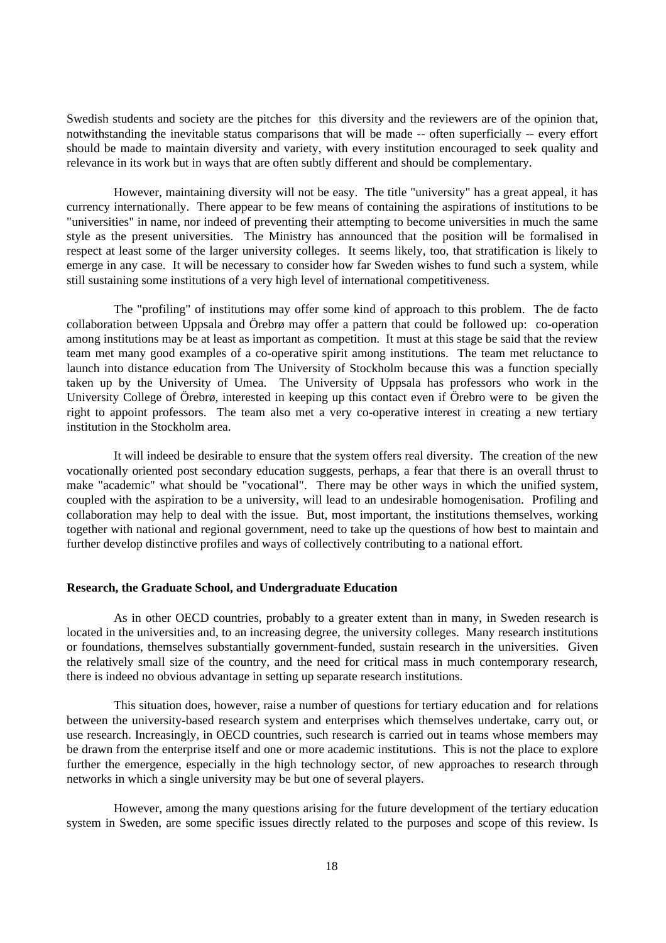Swedish students and society are the pitches for this diversity and the reviewers are of the opinion that, notwithstanding the inevitable status comparisons that will be made -- often superficially -- every effort should be made to maintain diversity and variety, with every institution encouraged to seek quality and relevance in its work but in ways that are often subtly different and should be complementary.

However, maintaining diversity will not be easy. The title "university" has a great appeal, it has currency internationally. There appear to be few means of containing the aspirations of institutions to be "universities" in name, nor indeed of preventing their attempting to become universities in much the same style as the present universities. The Ministry has announced that the position will be formalised in respect at least some of the larger university colleges. It seems likely, too, that stratification is likely to emerge in any case. It will be necessary to consider how far Sweden wishes to fund such a system, while still sustaining some institutions of a very high level of international competitiveness.

The "profiling" of institutions may offer some kind of approach to this problem. The de facto collaboration between Uppsala and Örebrø may offer a pattern that could be followed up: co-operation among institutions may be at least as important as competition. It must at this stage be said that the review team met many good examples of a co-operative spirit among institutions. The team met reluctance to launch into distance education from The University of Stockholm because this was a function specially taken up by the University of Umea. The University of Uppsala has professors who work in the University College of Örebrø, interested in keeping up this contact even if Örebro were to be given the right to appoint professors. The team also met a very co-operative interest in creating a new tertiary institution in the Stockholm area.

It will indeed be desirable to ensure that the system offers real diversity. The creation of the new vocationally oriented post secondary education suggests, perhaps, a fear that there is an overall thrust to make "academic" what should be "vocational". There may be other ways in which the unified system, coupled with the aspiration to be a university, will lead to an undesirable homogenisation. Profiling and collaboration may help to deal with the issue. But, most important, the institutions themselves, working together with national and regional government, need to take up the questions of how best to maintain and further develop distinctive profiles and ways of collectively contributing to a national effort.

### **Research, the Graduate School, and Undergraduate Education**

As in other OECD countries, probably to a greater extent than in many, in Sweden research is located in the universities and, to an increasing degree, the university colleges. Many research institutions or foundations, themselves substantially government-funded, sustain research in the universities. Given the relatively small size of the country, and the need for critical mass in much contemporary research, there is indeed no obvious advantage in setting up separate research institutions.

This situation does, however, raise a number of questions for tertiary education and for relations between the university-based research system and enterprises which themselves undertake, carry out, or use research. Increasingly, in OECD countries, such research is carried out in teams whose members may be drawn from the enterprise itself and one or more academic institutions. This is not the place to explore further the emergence, especially in the high technology sector, of new approaches to research through networks in which a single university may be but one of several players.

However, among the many questions arising for the future development of the tertiary education system in Sweden, are some specific issues directly related to the purposes and scope of this review. Is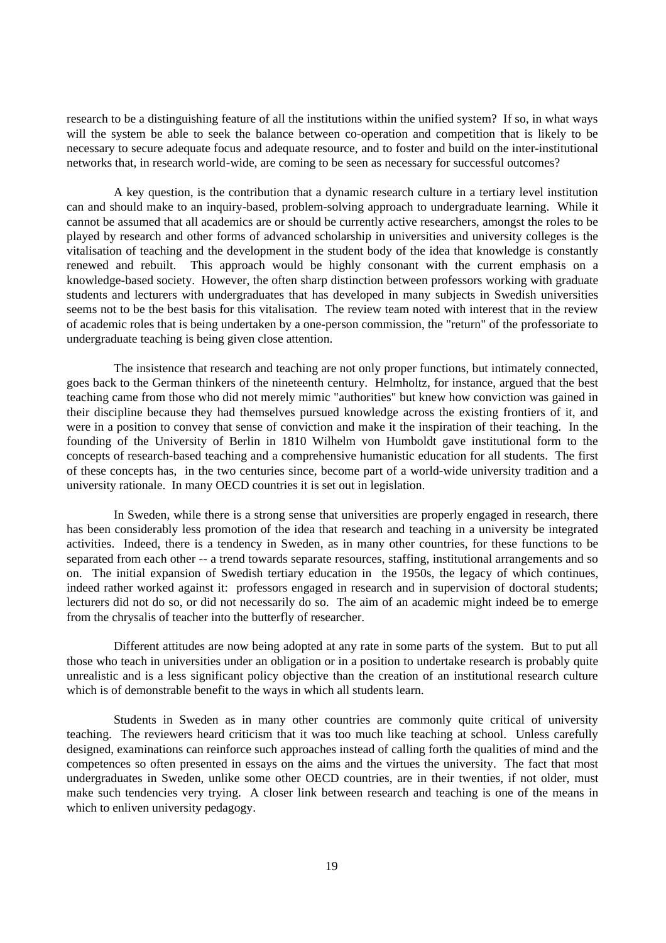research to be a distinguishing feature of all the institutions within the unified system? If so, in what ways will the system be able to seek the balance between co-operation and competition that is likely to be necessary to secure adequate focus and adequate resource, and to foster and build on the inter-institutional networks that, in research world-wide, are coming to be seen as necessary for successful outcomes?

A key question, is the contribution that a dynamic research culture in a tertiary level institution can and should make to an inquiry-based, problem-solving approach to undergraduate learning. While it cannot be assumed that all academics are or should be currently active researchers, amongst the roles to be played by research and other forms of advanced scholarship in universities and university colleges is the vitalisation of teaching and the development in the student body of the idea that knowledge is constantly renewed and rebuilt. This approach would be highly consonant with the current emphasis on a knowledge-based society. However, the often sharp distinction between professors working with graduate students and lecturers with undergraduates that has developed in many subjects in Swedish universities seems not to be the best basis for this vitalisation. The review team noted with interest that in the review of academic roles that is being undertaken by a one-person commission, the "return" of the professoriate to undergraduate teaching is being given close attention.

The insistence that research and teaching are not only proper functions, but intimately connected, goes back to the German thinkers of the nineteenth century. Helmholtz, for instance, argued that the best teaching came from those who did not merely mimic "authorities" but knew how conviction was gained in their discipline because they had themselves pursued knowledge across the existing frontiers of it, and were in a position to convey that sense of conviction and make it the inspiration of their teaching. In the founding of the University of Berlin in 1810 Wilhelm von Humboldt gave institutional form to the concepts of research-based teaching and a comprehensive humanistic education for all students. The first of these concepts has, in the two centuries since, become part of a world-wide university tradition and a university rationale. In many OECD countries it is set out in legislation.

In Sweden, while there is a strong sense that universities are properly engaged in research, there has been considerably less promotion of the idea that research and teaching in a university be integrated activities. Indeed, there is a tendency in Sweden, as in many other countries, for these functions to be separated from each other -- a trend towards separate resources, staffing, institutional arrangements and so on. The initial expansion of Swedish tertiary education in the 1950s, the legacy of which continues, indeed rather worked against it: professors engaged in research and in supervision of doctoral students; lecturers did not do so, or did not necessarily do so. The aim of an academic might indeed be to emerge from the chrysalis of teacher into the butterfly of researcher.

Different attitudes are now being adopted at any rate in some parts of the system. But to put all those who teach in universities under an obligation or in a position to undertake research is probably quite unrealistic and is a less significant policy objective than the creation of an institutional research culture which is of demonstrable benefit to the ways in which all students learn.

Students in Sweden as in many other countries are commonly quite critical of university teaching. The reviewers heard criticism that it was too much like teaching at school. Unless carefully designed, examinations can reinforce such approaches instead of calling forth the qualities of mind and the competences so often presented in essays on the aims and the virtues the university. The fact that most undergraduates in Sweden, unlike some other OECD countries, are in their twenties, if not older, must make such tendencies very trying. A closer link between research and teaching is one of the means in which to enliven university pedagogy.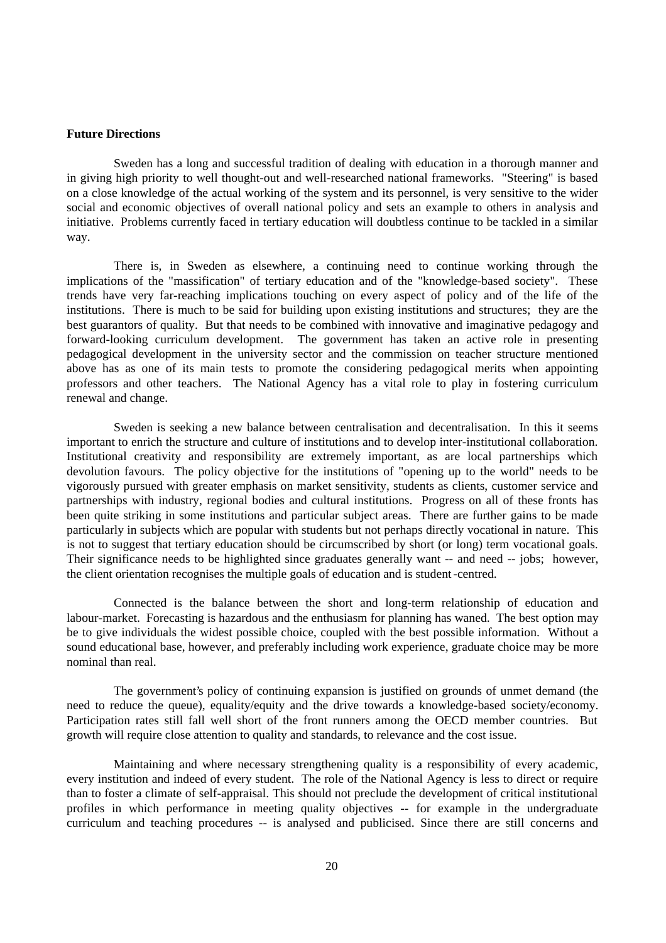### **Future Directions**

Sweden has a long and successful tradition of dealing with education in a thorough manner and in giving high priority to well thought-out and well-researched national frameworks. "Steering" is based on a close knowledge of the actual working of the system and its personnel, is very sensitive to the wider social and economic objectives of overall national policy and sets an example to others in analysis and initiative. Problems currently faced in tertiary education will doubtless continue to be tackled in a similar way.

There is, in Sweden as elsewhere, a continuing need to continue working through the implications of the "massification" of tertiary education and of the "knowledge-based society". These trends have very far-reaching implications touching on every aspect of policy and of the life of the institutions. There is much to be said for building upon existing institutions and structures; they are the best guarantors of quality. But that needs to be combined with innovative and imaginative pedagogy and forward-looking curriculum development. The government has taken an active role in presenting pedagogical development in the university sector and the commission on teacher structure mentioned above has as one of its main tests to promote the considering pedagogical merits when appointing professors and other teachers. The National Agency has a vital role to play in fostering curriculum renewal and change.

Sweden is seeking a new balance between centralisation and decentralisation. In this it seems important to enrich the structure and culture of institutions and to develop inter-institutional collaboration. Institutional creativity and responsibility are extremely important, as are local partnerships which devolution favours. The policy objective for the institutions of "opening up to the world" needs to be vigorously pursued with greater emphasis on market sensitivity, students as clients, customer service and partnerships with industry, regional bodies and cultural institutions. Progress on all of these fronts has been quite striking in some institutions and particular subject areas. There are further gains to be made particularly in subjects which are popular with students but not perhaps directly vocational in nature. This is not to suggest that tertiary education should be circumscribed by short (or long) term vocational goals. Their significance needs to be highlighted since graduates generally want -- and need -- jobs; however, the client orientation recognises the multiple goals of education and is student -centred.

Connected is the balance between the short and long-term relationship of education and labour-market. Forecasting is hazardous and the enthusiasm for planning has waned. The best option may be to give individuals the widest possible choice, coupled with the best possible information. Without a sound educational base, however, and preferably including work experience, graduate choice may be more nominal than real.

The government's policy of continuing expansion is justified on grounds of unmet demand (the need to reduce the queue), equality/equity and the drive towards a knowledge-based society/economy. Participation rates still fall well short of the front runners among the OECD member countries. But growth will require close attention to quality and standards, to relevance and the cost issue.

Maintaining and where necessary strengthening quality is a responsibility of every academic, every institution and indeed of every student. The role of the National Agency is less to direct or require than to foster a climate of self-appraisal. This should not preclude the development of critical institutional profiles in which performance in meeting quality objectives -- for example in the undergraduate curriculum and teaching procedures -- is analysed and publicised. Since there are still concerns and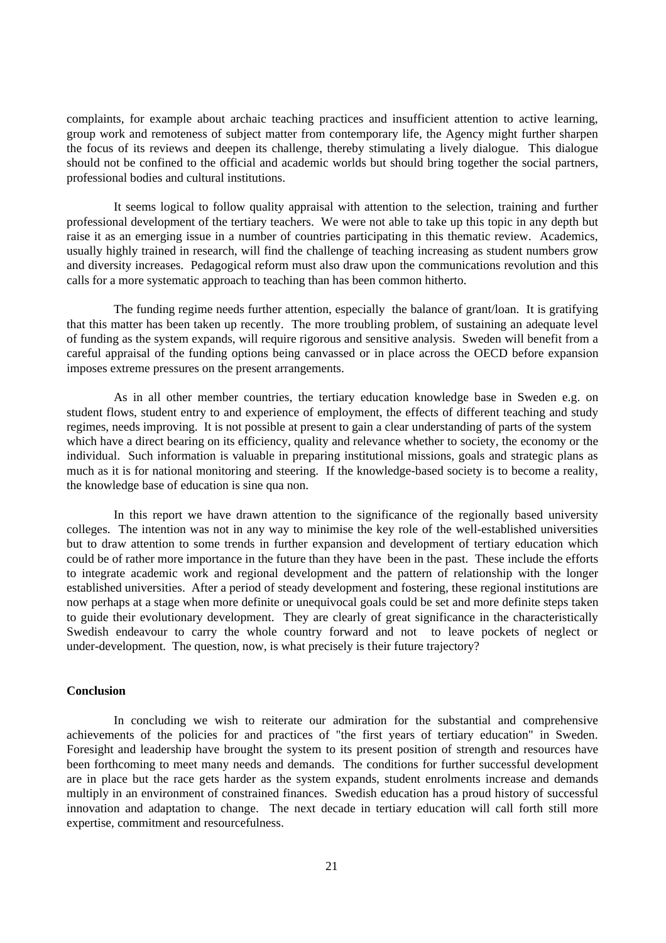complaints, for example about archaic teaching practices and insufficient attention to active learning, group work and remoteness of subject matter from contemporary life, the Agency might further sharpen the focus of its reviews and deepen its challenge, thereby stimulating a lively dialogue. This dialogue should not be confined to the official and academic worlds but should bring together the social partners, professional bodies and cultural institutions.

It seems logical to follow quality appraisal with attention to the selection, training and further professional development of the tertiary teachers. We were not able to take up this topic in any depth but raise it as an emerging issue in a number of countries participating in this thematic review. Academics, usually highly trained in research, will find the challenge of teaching increasing as student numbers grow and diversity increases. Pedagogical reform must also draw upon the communications revolution and this calls for a more systematic approach to teaching than has been common hitherto.

The funding regime needs further attention, especially the balance of grant/loan. It is gratifying that this matter has been taken up recently. The more troubling problem, of sustaining an adequate level of funding as the system expands, will require rigorous and sensitive analysis. Sweden will benefit from a careful appraisal of the funding options being canvassed or in place across the OECD before expansion imposes extreme pressures on the present arrangements.

As in all other member countries, the tertiary education knowledge base in Sweden e.g. on student flows, student entry to and experience of employment, the effects of different teaching and study regimes, needs improving. It is not possible at present to gain a clear understanding of parts of the system which have a direct bearing on its efficiency, quality and relevance whether to society, the economy or the individual. Such information is valuable in preparing institutional missions, goals and strategic plans as much as it is for national monitoring and steering. If the knowledge-based society is to become a reality, the knowledge base of education is sine qua non.

In this report we have drawn attention to the significance of the regionally based university colleges. The intention was not in any way to minimise the key role of the well-established universities but to draw attention to some trends in further expansion and development of tertiary education which could be of rather more importance in the future than they have been in the past. These include the efforts to integrate academic work and regional development and the pattern of relationship with the longer established universities. After a period of steady development and fostering, these regional institutions are now perhaps at a stage when more definite or unequivocal goals could be set and more definite steps taken to guide their evolutionary development. They are clearly of great significance in the characteristically Swedish endeavour to carry the whole country forward and not to leave pockets of neglect or under-development. The question, now, is what precisely is their future trajectory?

### **Conclusion**

In concluding we wish to reiterate our admiration for the substantial and comprehensive achievements of the policies for and practices of "the first years of tertiary education" in Sweden. Foresight and leadership have brought the system to its present position of strength and resources have been forthcoming to meet many needs and demands. The conditions for further successful development are in place but the race gets harder as the system expands, student enrolments increase and demands multiply in an environment of constrained finances. Swedish education has a proud history of successful innovation and adaptation to change. The next decade in tertiary education will call forth still more expertise, commitment and resourcefulness.